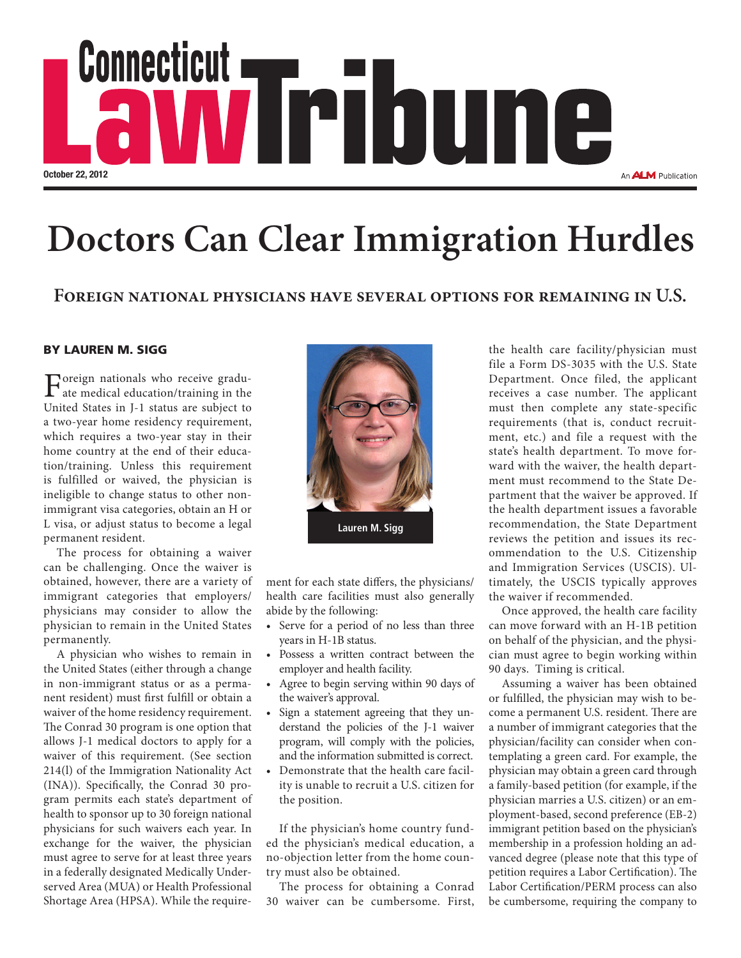

## **Doctors Can Clear Immigration Hurdles**

### **Foreign national physicians have several options for remaining in U.S.**

### BY LAUREN M. SIGG

Foreign nationals who receive gradu-<br>ate medical education/training in the<br>United States in L1 states are which to United States in J-1 status are subject to a two-year home residency requirement, which requires a two-year stay in their home country at the end of their education/training. Unless this requirement is fulfilled or waived, the physician is ineligible to change status to other nonimmigrant visa categories, obtain an H or L visa, or adjust status to become a legal permanent resident.

The process for obtaining a waiver can be challenging. Once the waiver is obtained, however, there are a variety of immigrant categories that employers/ physicians may consider to allow the physician to remain in the United States permanently.

A physician who wishes to remain in the United States (either through a change in non-immigrant status or as a permanent resident) must first fulfill or obtain a waiver of the home residency requirement. The Conrad 30 program is one option that allows J-1 medical doctors to apply for a waiver of this requirement. (See section 214(l) of the Immigration Nationality Act (INA)). Specifically, the Conrad 30 program permits each state's department of health to sponsor up to 30 foreign national physicians for such waivers each year. In exchange for the waiver, the physician must agree to serve for at least three years in a federally designated Medically Underserved Area (MUA) or Health Professional Shortage Area (HPSA). While the require-



ment for each state differs, the physicians/ health care facilities must also generally abide by the following:

- Serve for a period of no less than three years in H-1B status.
- • Possess a written contract between the employer and health facility.
- Agree to begin serving within 90 days of the waiver's approval.
- Sign a statement agreeing that they understand the policies of the J-1 waiver program, will comply with the policies, and the information submitted is correct.
- Demonstrate that the health care facility is unable to recruit a U.S. citizen for the position.

If the physician's home country funded the physician's medical education, a no-objection letter from the home country must also be obtained.

The process for obtaining a Conrad 30 waiver can be cumbersome. First,

the health care facility/physician must file a Form DS-3035 with the U.S. State Department. Once filed, the applicant receives a case number. The applicant must then complete any state-specific requirements (that is, conduct recruitment, etc.) and file a request with the state's health department. To move forward with the waiver, the health department must recommend to the State Department that the waiver be approved. If the health department issues a favorable recommendation, the State Department reviews the petition and issues its recommendation to the U.S. Citizenship and Immigration Services (USCIS). Ultimately, the USCIS typically approves the waiver if recommended.

Once approved, the health care facility can move forward with an H-1B petition on behalf of the physician, and the physician must agree to begin working within 90 days. Timing is critical.

Assuming a waiver has been obtained or fulfilled, the physician may wish to become a permanent U.S. resident. There are a number of immigrant categories that the physician/facility can consider when contemplating a green card. For example, the physician may obtain a green card through a family-based petition (for example, if the physician marries a U.S. citizen) or an employment-based, second preference (EB-2) immigrant petition based on the physician's membership in a profession holding an advanced degree (please note that this type of petition requires a Labor Certification). The Labor Certification/PERM process can also be cumbersome, requiring the company to